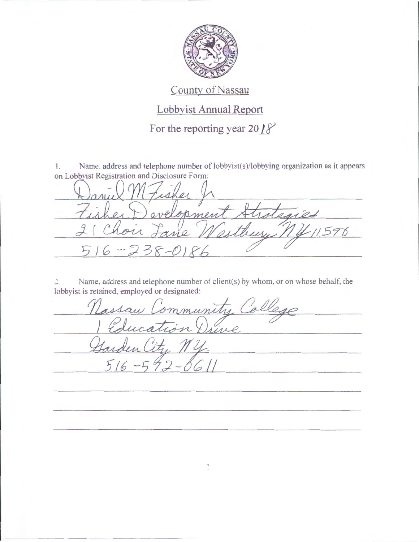

## County of Nassau

## Lobbyist Annual Report

For the reporting year  $20/8$ 

1. Name. address and telephone number of lobbyist(s)/lobbying organization as it appears on Lobbyist Registration and Disclosure Form:

 $\alpha$ opmen nies  $159$  $\overline{\mathcal{A}}$ 

 $\frac{1}{2}$ . Name, address and telephone number of client(s) by whom, or on whose behalf, the lobbyist is retained. employed or designated:

me, address and telephone number of client(s) by whom, or on whose behalf, the<br>retained, employed or designated:<br>Nassau Community College  $516 - 592 - 6611$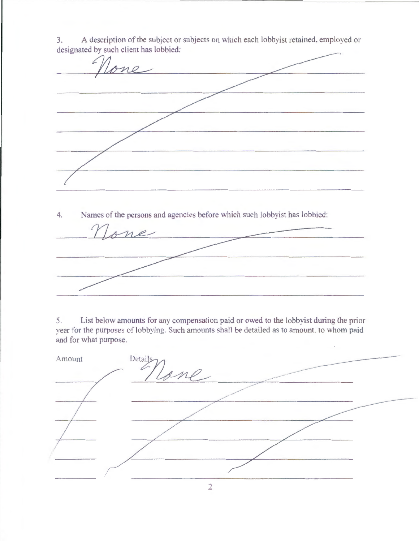me 4. Names of the persons and agencies before which such lobbyist has lobbied:

3. A description of the subject or subjects on which each lobbyist retained. employed or designated by such client has lobbied:

5. List below amounts for any compensation paid or owed to the lobbyist during the prior year for the purposes of lobbying. Such amounts shall be detailed as to amount. to whom paid and for what purpose.

| Details<br>Amount<br>$\varphi$ |  |
|--------------------------------|--|
|                                |  |
|                                |  |
|                                |  |
|                                |  |
|                                |  |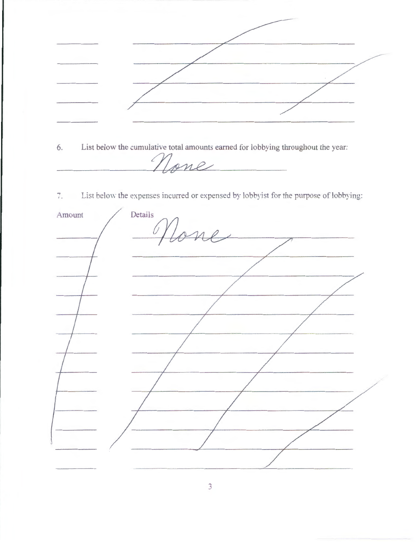6. List below the cumulative total amounts earned for lobbying throughout the year: None 7. List below the expenses incurred or expensed by lobbyist for the purpose of lobbying: Details Amount one

 $\overline{3}$